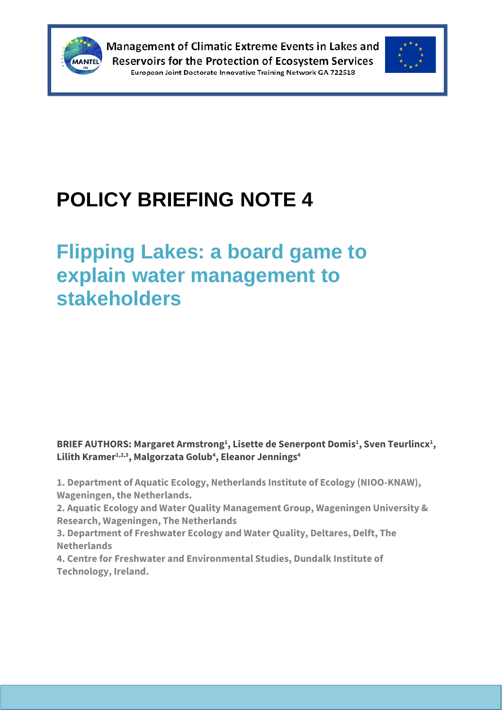



# **POLICY BRIEFING NOTE 4**

## **Flipping Lakes: a board game to explain water management to stakeholders**

**BRIEF AUTHORS: Margaret Armstrong<sup>1</sup> , Lisette de Senerpont Domis<sup>1</sup> , Sven Teurlincx<sup>1</sup> , Lilith Kramer1,2,3, Malgorzata Golub<sup>4</sup> , Eleanor Jennings<sup>4</sup>**

**1. Department of Aquatic Ecology, Netherlands Institute of Ecology (NIOO-KNAW), Wageningen, the Netherlands.**

**2. Aquatic Ecology and Water Quality Management Group, Wageningen University & Research, Wageningen, The Netherlands**

**3. Department of Freshwater Ecology and Water Quality, Deltares, Delft, The Netherlands**

**4. Centre for Freshwater and Environmental Studies, Dundalk Institute of Technology, Ireland.**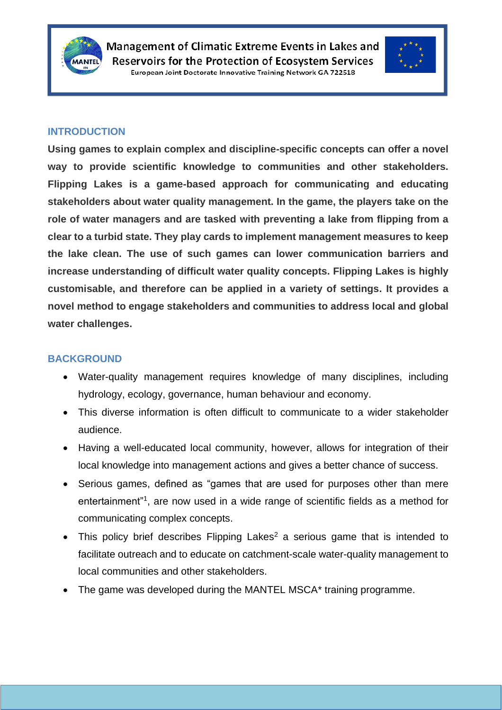



#### **INTRODUCTION**

**Using games to explain complex and discipline-specific concepts can offer a novel way to provide scientific knowledge to communities and other stakeholders. Flipping Lakes is a game-based approach for communicating and educating stakeholders about water quality management. In the game, the players take on the role of water managers and are tasked with preventing a lake from flipping from a clear to a turbid state. They play cards to implement management measures to keep the lake clean. The use of such games can lower communication barriers and increase understanding of difficult water quality concepts. Flipping Lakes is highly customisable, and therefore can be applied in a variety of settings. It provides a novel method to engage stakeholders and communities to address local and global water challenges.**

#### **BACKGROUND**

- Water-quality management requires knowledge of many disciplines, including hydrology, ecology, governance, human behaviour and economy.
- This diverse information is often difficult to communicate to a wider stakeholder audience.
- Having a well-educated local community, however, allows for integration of their local knowledge into management actions and gives a better chance of success.
- Serious games, defined as "games that are used for purposes other than mere entertainment"<sup>1</sup> , are now used in a wide range of scientific fields as a method for communicating complex concepts.
- This policy brief describes Flipping Lakes<sup>2</sup> a serious game that is intended to facilitate outreach and to educate on catchment-scale water-quality management to local communities and other stakeholders.
- The game was developed during the MANTEL MSCA\* training programme.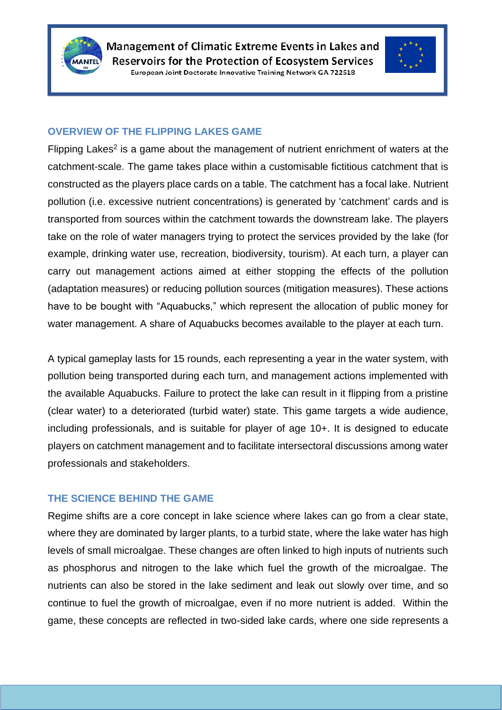



#### **OVERVIEW OF THE FLIPPING LAKES GAME**

Flipping Lakes<sup>2</sup> is a game about the management of nutrient enrichment of waters at the catchment-scale. The game takes place within a customisable fictitious catchment that is constructed as the players place cards on a table. The catchment has a focal lake. Nutrient pollution (i.e. excessive nutrient concentrations) is generated by 'catchment' cards and is transported from sources within the catchment towards the downstream lake. The players take on the role of water managers trying to protect the services provided by the lake (for example, drinking water use, recreation, biodiversity, tourism). At each turn, a player can carry out management actions aimed at either stopping the effects of the pollution (adaptation measures) or reducing pollution sources (mitigation measures). These actions have to be bought with "Aquabucks," which represent the allocation of public money for water management. A share of Aquabucks becomes available to the player at each turn.

A typical gameplay lasts for 15 rounds, each representing a year in the water system, with pollution being transported during each turn, and management actions implemented with the available Aquabucks. Failure to protect the lake can result in it flipping from a pristine (clear water) to a deteriorated (turbid water) state. This game targets a wide audience, including professionals, and is suitable for player of age 10+. It is designed to educate players on catchment management and to facilitate intersectoral discussions among water professionals and stakeholders.

#### **THE SCIENCE BEHIND THE GAME**

Regime shifts are a core concept in lake science where lakes can go from a clear state, where they are dominated by larger plants, to a turbid state, where the lake water has high levels of small microalgae. These changes are often linked to high inputs of nutrients such as phosphorus and nitrogen to the lake which fuel the growth of the microalgae. The nutrients can also be stored in the lake sediment and leak out slowly over time, and so continue to fuel the growth of microalgae, even if no more nutrient is added. Within the game, these concepts are reflected in two-sided lake cards, where one side represents a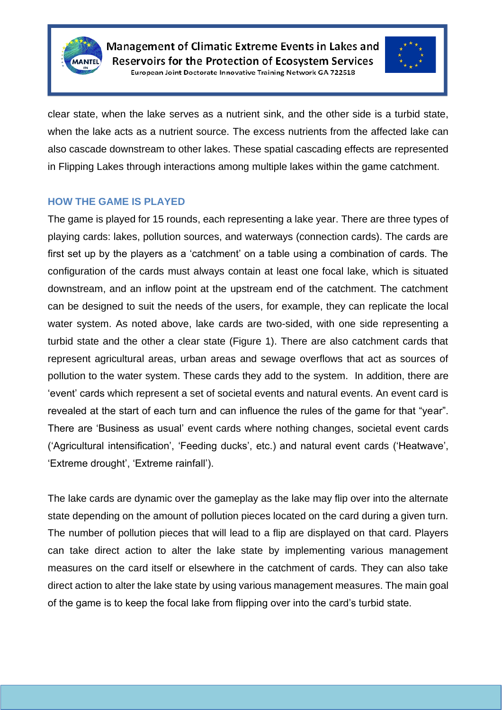



clear state, when the lake serves as a nutrient sink, and the other side is a turbid state, when the lake acts as a nutrient source. The excess nutrients from the affected lake can also cascade downstream to other lakes. These spatial cascading effects are represented in Flipping Lakes through interactions among multiple lakes within the game catchment.

#### **HOW THE GAME IS PLAYED**

The game is played for 15 rounds, each representing a lake year. There are three types of playing cards: lakes, pollution sources, and waterways (connection cards). The cards are first set up by the players as a 'catchment' on a table using a combination of cards. The configuration of the cards must always contain at least one focal lake, which is situated downstream, and an inflow point at the upstream end of the catchment. The catchment can be designed to suit the needs of the users, for example, they can replicate the local water system. As noted above, lake cards are two-sided, with one side representing a turbid state and the other a clear state (Figure 1). There are also catchment cards that represent agricultural areas, urban areas and sewage overflows that act as sources of pollution to the water system. These cards they add to the system. In addition, there are 'event' cards which represent a set of societal events and natural events. An event card is revealed at the start of each turn and can influence the rules of the game for that "year". There are 'Business as usual' event cards where nothing changes, societal event cards ('Agricultural intensification', 'Feeding ducks', etc.) and natural event cards ('Heatwave', 'Extreme drought', 'Extreme rainfall').

The lake cards are dynamic over the gameplay as the lake may flip over into the alternate state depending on the amount of pollution pieces located on the card during a given turn. The number of pollution pieces that will lead to a flip are displayed on that card. Players can take direct action to alter the lake state by implementing various management measures on the card itself or elsewhere in the catchment of cards. They can also take direct action to alter the lake state by using various management measures. The main goal of the game is to keep the focal lake from flipping over into the card's turbid state.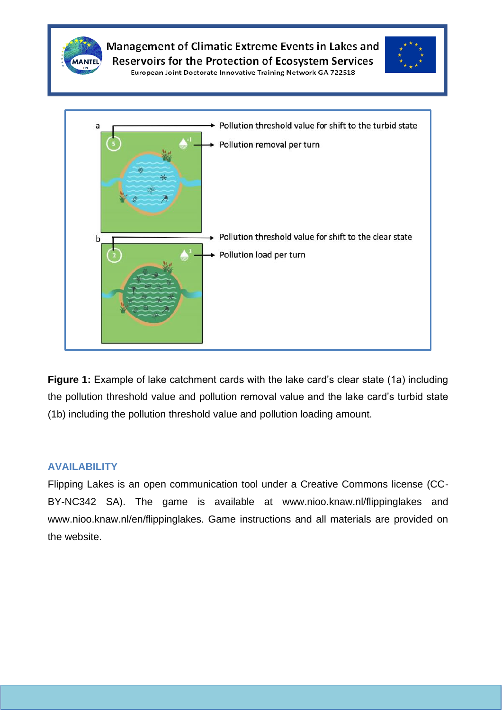

**Figure 1:** Example of lake catchment cards with the lake card's clear state (1a) including the pollution threshold value and pollution removal value and the lake card's turbid state (1b) including the pollution threshold value and pollution loading amount.

#### **AVAILABILITY**

Flipping Lakes is an open communication tool under a Creative Commons license (CC-BY-NC342 SA). The game is available at www.nioo.knaw.nl/flippinglakes and www.nioo.knaw.nl/en/flippinglakes. Game instructions and all materials are provided on the website.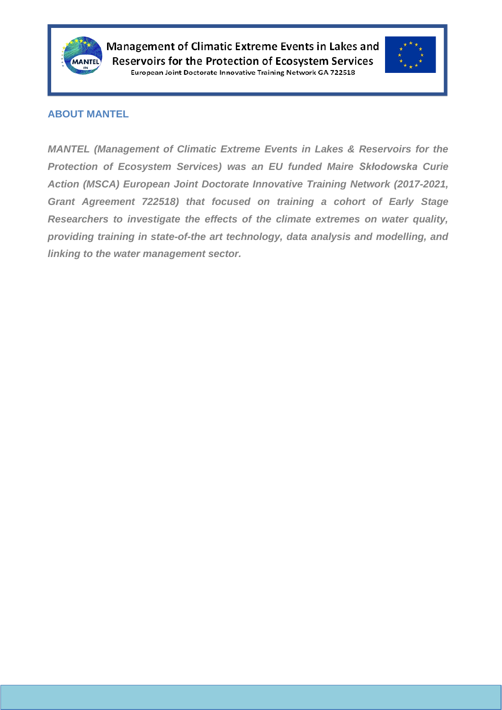



#### **ABOUT MANTEL**

*MANTEL (Management of Climatic Extreme Events in Lakes & Reservoirs for the Protection of Ecosystem Services) was an EU funded Maire Skłodowska Curie Action (MSCA) European Joint Doctorate Innovative Training Network (2017-2021, Grant Agreement 722518) that focused on training a cohort of Early Stage Researchers to investigate the effects of the climate extremes on water quality, providing training in state-of-the art technology, data analysis and modelling, and linking to the water management sector.*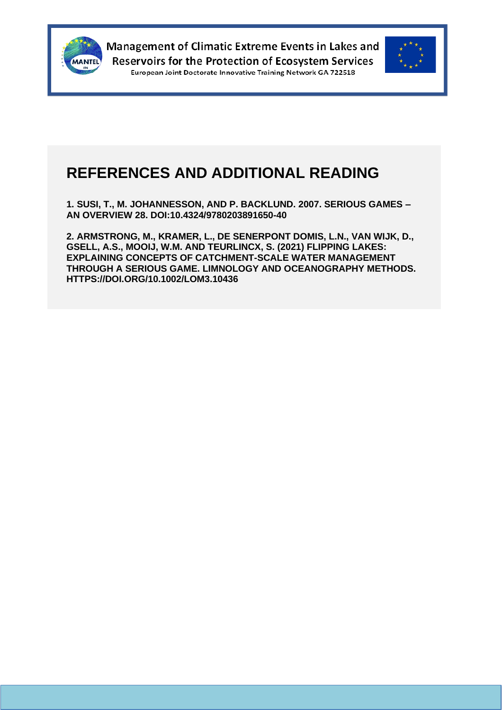



### **REFERENCES AND ADDITIONAL READING**

**1. SUSI, T., M. JOHANNESSON, AND P. BACKLUND. 2007. SERIOUS GAMES – AN OVERVIEW 28. DOI:10.4324/9780203891650-40**

**2. ARMSTRONG, M., KRAMER, L., DE SENERPONT DOMIS, L.N., VAN WIJK, D., GSELL, A.S., MOOIJ, W.M. AND TEURLINCX, S. (2021) FLIPPING LAKES: EXPLAINING CONCEPTS OF CATCHMENT-SCALE WATER MANAGEMENT THROUGH A SERIOUS GAME. LIMNOLOGY AND OCEANOGRAPHY METHODS. HTTPS://DOI.ORG/10.1002/LOM3.10436**